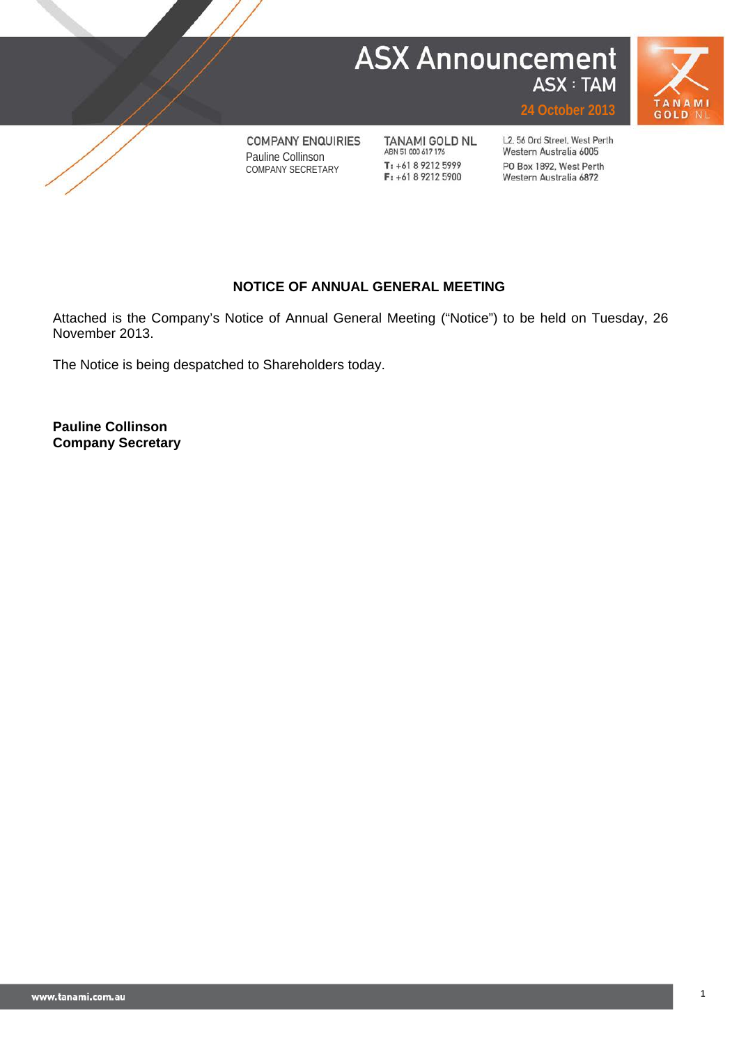# **ASX Announcement** ASX : TAM





**COMPANY ENQUIRIES** Pauline Collinson COMPANY SECRETARY

TANAMI GOLD NL ABN 51 000 617 176 T: +61 8 9212 5999 F: +61 8 9212 5900

L2, 56 Ord Street, West Perth Western Australia 6005 PO Box 1892, West Perth Western Australia 6872

**24 October 2013**

# **NOTICE OF ANNUAL GENERAL MEETING**

Attached is the Company's Notice of Annual General Meeting ("Notice") to be held on Tuesday, 26 November 2013.

The Notice is being despatched to Shareholders today.

**Pauline Collinson Company Secretary**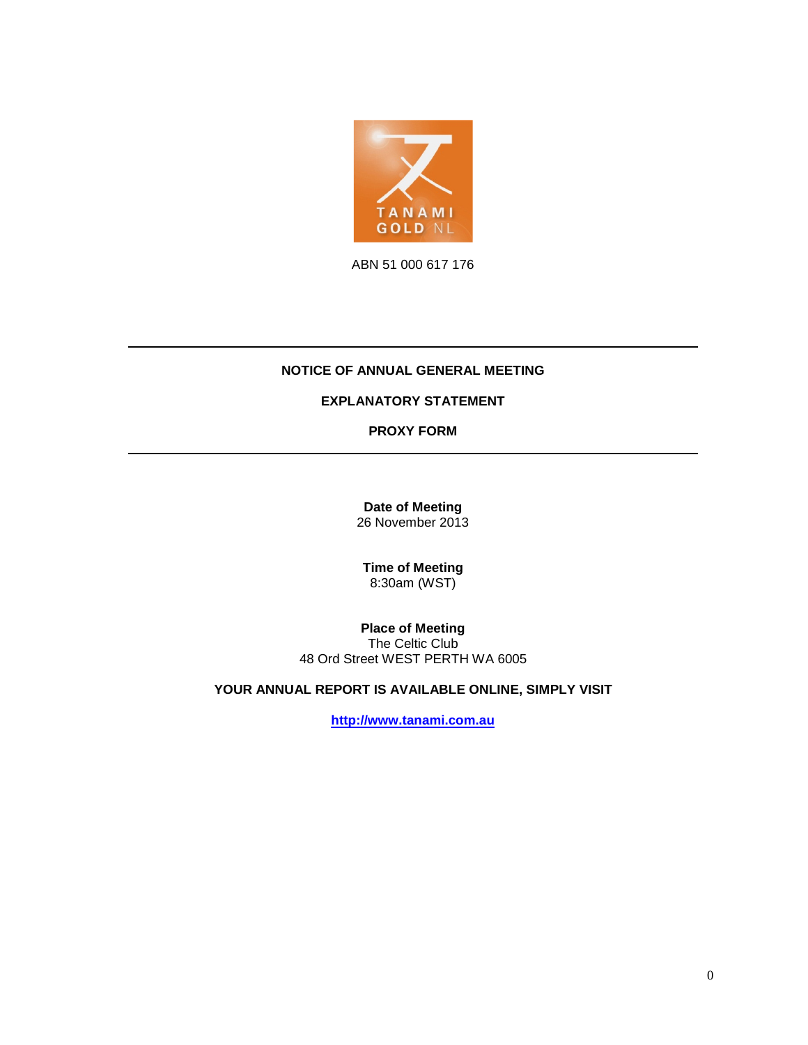

ABN 51 000 617 176

## **NOTICE OF ANNUAL GENERAL MEETING**

## **EXPLANATORY STATEMENT**

**PROXY FORM**

**Date of Meeting** 26 November 2013

**Time of Meeting** 8:30am (WST)

**Place of Meeting** The Celtic Club 48 Ord Street WEST PERTH WA 6005

**YOUR ANNUAL REPORT IS AVAILABLE ONLINE, SIMPLY VISIT**

**[http://www.tanami.com.au](http://www.tanami.com.au/)**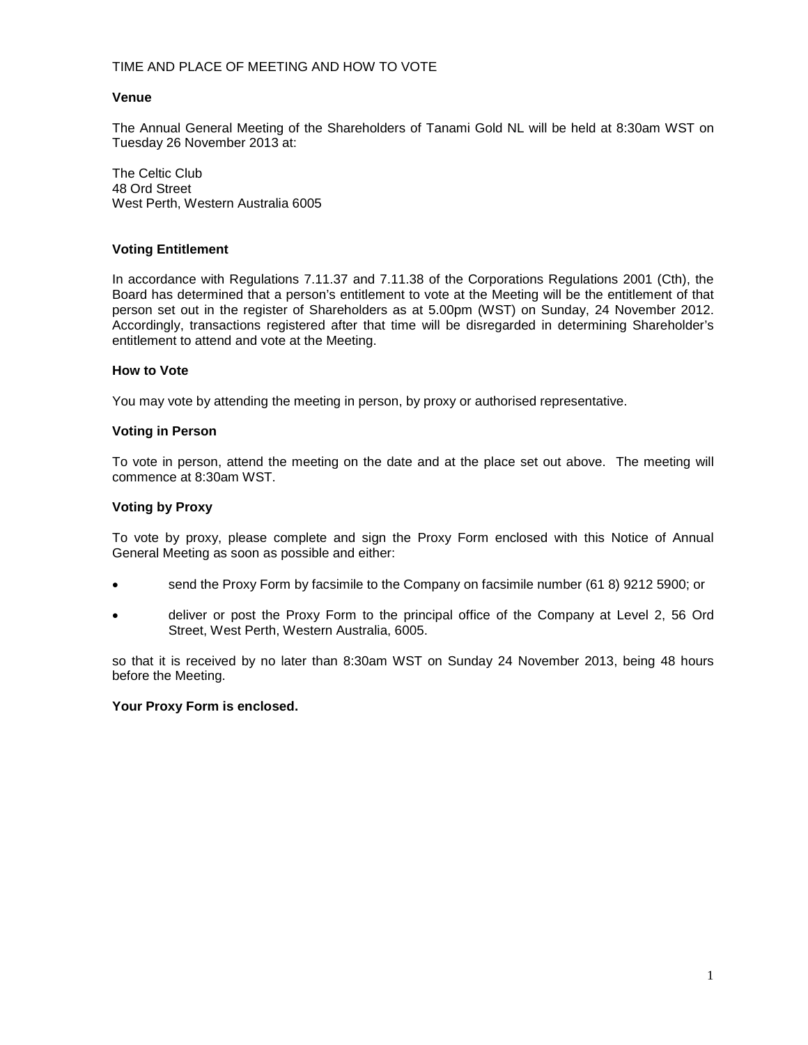## TIME AND PLACE OF MEETING AND HOW TO VOTE

#### **Venue**

The Annual General Meeting of the Shareholders of Tanami Gold NL will be held at 8:30am WST on Tuesday 26 November 2013 at:

The Celtic Club 48 Ord Street West Perth, Western Australia 6005

#### **Voting Entitlement**

In accordance with Regulations 7.11.37 and 7.11.38 of the Corporations Regulations 2001 (Cth), the Board has determined that a person's entitlement to vote at the Meeting will be the entitlement of that person set out in the register of Shareholders as at 5.00pm (WST) on Sunday, 24 November 2012. Accordingly, transactions registered after that time will be disregarded in determining Shareholder's entitlement to attend and vote at the Meeting.

#### **How to Vote**

You may vote by attending the meeting in person, by proxy or authorised representative.

#### **Voting in Person**

To vote in person, attend the meeting on the date and at the place set out above. The meeting will commence at 8:30am WST.

## **Voting by Proxy**

To vote by proxy, please complete and sign the Proxy Form enclosed with this Notice of Annual General Meeting as soon as possible and either:

- send the Proxy Form by facsimile to the Company on facsimile number (61 8) 9212 5900; or
- deliver or post the Proxy Form to the principal office of the Company at Level 2, 56 Ord Street, West Perth, Western Australia, 6005.

so that it is received by no later than 8:30am WST on Sunday 24 November 2013, being 48 hours before the Meeting.

## **Your Proxy Form is enclosed.**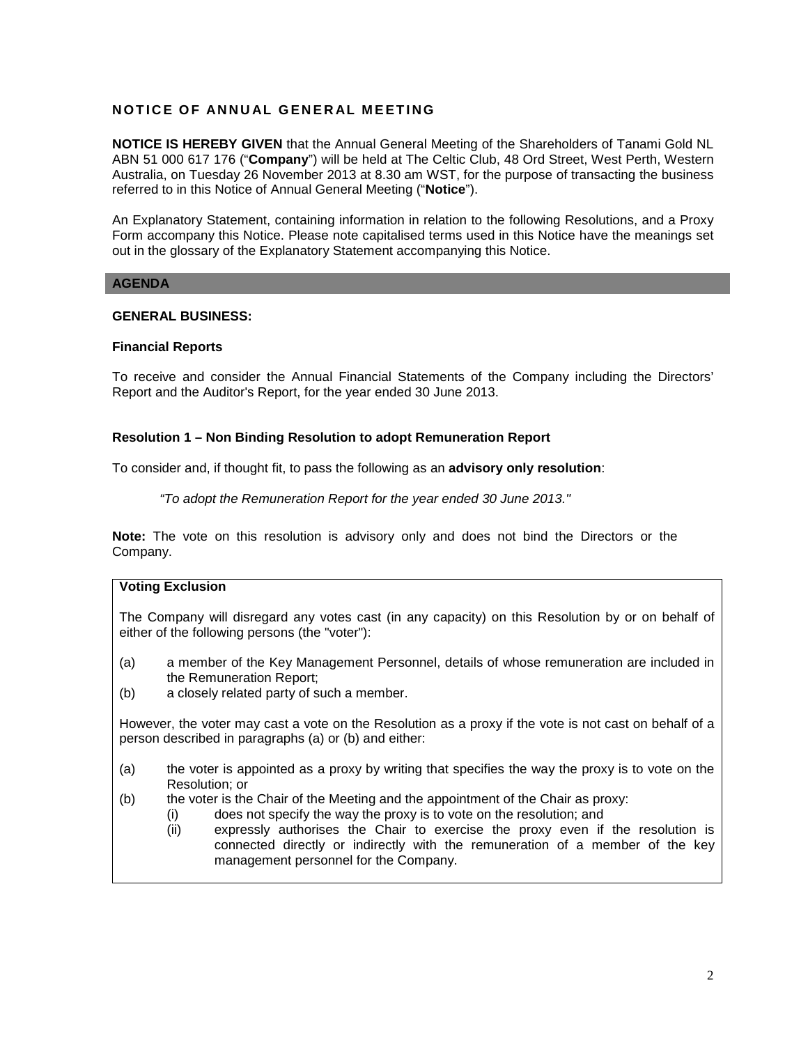## **NOTICE O F ANNUAL GENERAL MEETING**

**NOTICE IS HEREBY GIVEN** that the Annual General Meeting of the Shareholders of Tanami Gold NL ABN 51 000 617 176 ("**Company**") will be held at The Celtic Club, 48 Ord Street, West Perth, Western Australia, on Tuesday 26 November 2013 at 8.30 am WST, for the purpose of transacting the business referred to in this Notice of Annual General Meeting ("**Notice**").

An Explanatory Statement, containing information in relation to the following Resolutions, and a Proxy Form accompany this Notice. Please note capitalised terms used in this Notice have the meanings set out in the glossary of the Explanatory Statement accompanying this Notice.

## **AGENDA**

## **GENERAL BUSINESS:**

#### **Financial Reports**

To receive and consider the Annual Financial Statements of the Company including the Directors' Report and the Auditor's Report, for the year ended 30 June 2013.

#### **Resolution 1 – Non Binding Resolution to adopt Remuneration Report**

To consider and, if thought fit, to pass the following as an **advisory only resolution**:

*"To adopt the Remuneration Report for the year ended 30 June 2013."*

**Note:** The vote on this resolution is advisory only and does not bind the Directors or the Company.

## **Voting Exclusion**

The Company will disregard any votes cast (in any capacity) on this Resolution by or on behalf of either of the following persons (the "voter"):

- (a) a member of the Key Management Personnel, details of whose remuneration are included in the Remuneration Report;
- (b) a closely related party of such a member.

However, the voter may cast a vote on the Resolution as a proxy if the vote is not cast on behalf of a person described in paragraphs (a) or (b) and either:

- (a) the voter is appointed as a proxy by writing that specifies the way the proxy is to vote on the Resolution; or
- (b) the voter is the Chair of the Meeting and the appointment of the Chair as proxy:
	- (i) does not specify the way the proxy is to vote on the resolution; and
		- (ii) expressly authorises the Chair to exercise the proxy even if the resolution is connected directly or indirectly with the remuneration of a member of the key management personnel for the Company.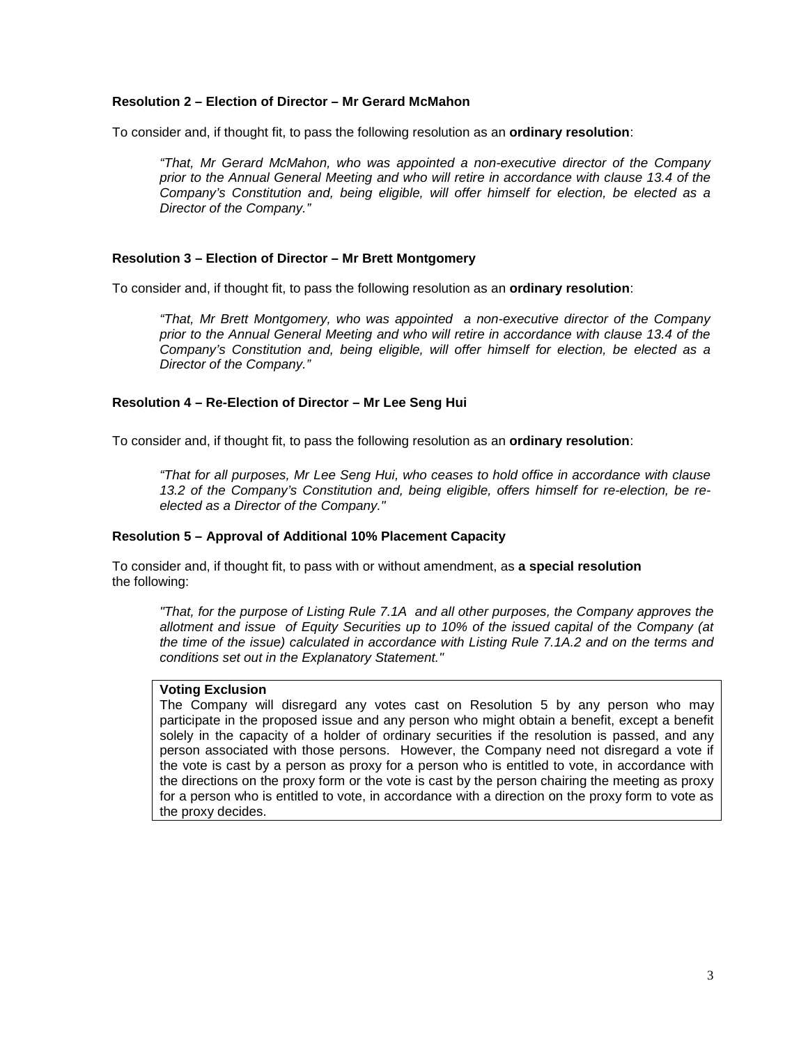## **Resolution 2 – Election of Director – Mr Gerard McMahon**

To consider and, if thought fit, to pass the following resolution as an **ordinary resolution**:

*"That, Mr Gerard McMahon, who was appointed a non-executive director of the Company prior to the Annual General Meeting and who will retire in accordance with clause 13.4 of the Company's Constitution and, being eligible, will offer himself for election, be elected as a Director of the Company."*

#### **Resolution 3 – Election of Director – Mr Brett Montgomery**

To consider and, if thought fit, to pass the following resolution as an **ordinary resolution**:

*"That, Mr Brett Montgomery, who was appointed a non-executive director of the Company prior to the Annual General Meeting and who will retire in accordance with clause 13.4 of the Company's Constitution and, being eligible, will offer himself for election, be elected as a Director of the Company."*

#### **Resolution 4 – Re-Election of Director – Mr Lee Seng Hui**

To consider and, if thought fit, to pass the following resolution as an **ordinary resolution**:

*"That for all purposes, Mr Lee Seng Hui, who ceases to hold office in accordance with clause 13.2 of the Company's Constitution and, being eligible, offers himself for re-election, be reelected as a Director of the Company."*

#### **Resolution 5 – Approval of Additional 10% Placement Capacity**

To consider and, if thought fit, to pass with or without amendment, as **a special resolution** the following:

*"That, for the purpose of Listing Rule 7.1A and all other purposes, the Company approves the allotment and issue of Equity Securities up to 10% of the issued capital of the Company (at the time of the issue) calculated in accordance with Listing Rule 7.1A.2 and on the terms and conditions set out in the Explanatory Statement."*

#### **Voting Exclusion**

The Company will disregard any votes cast on Resolution 5 by any person who may participate in the proposed issue and any person who might obtain a benefit, except a benefit solely in the capacity of a holder of ordinary securities if the resolution is passed, and any person associated with those persons. However, the Company need not disregard a vote if the vote is cast by a person as proxy for a person who is entitled to vote, in accordance with the directions on the proxy form or the vote is cast by the person chairing the meeting as proxy for a person who is entitled to vote, in accordance with a direction on the proxy form to vote as the proxy decides.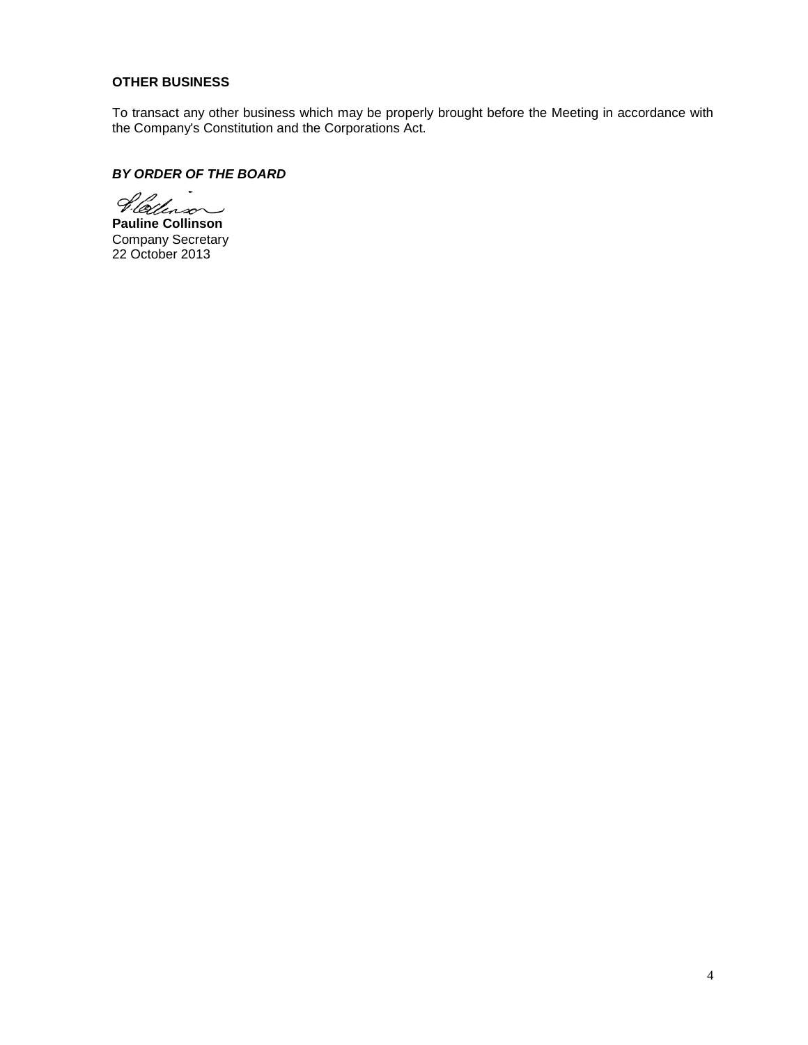## **OTHER BUSINESS**

To transact any other business which may be properly brought before the Meeting in accordance with the Company's Constitution and the Corporations Act.

## *BY ORDER OF THE BOARD*

Pletterson

**Pauline Collinson** Company Secretary 22 October 2013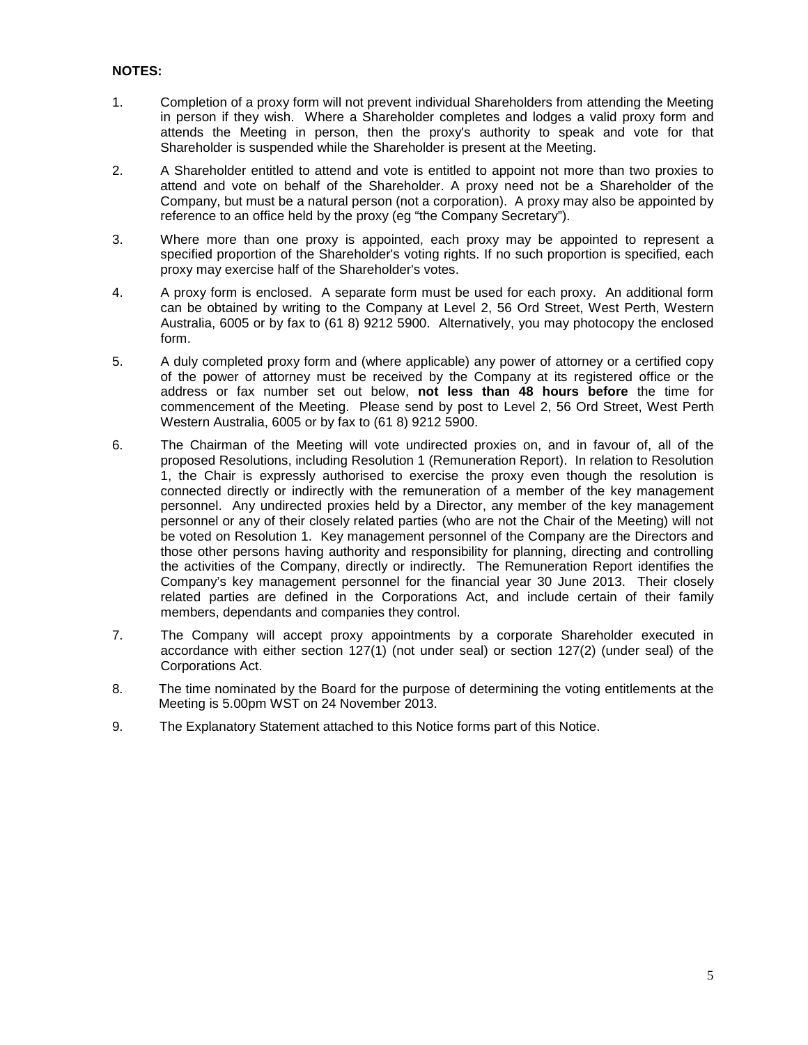## **NOTES:**

- 1. Completion of a proxy form will not prevent individual Shareholders from attending the Meeting in person if they wish. Where a Shareholder completes and lodges a valid proxy form and attends the Meeting in person, then the proxy's authority to speak and vote for that Shareholder is suspended while the Shareholder is present at the Meeting.
- 2. A Shareholder entitled to attend and vote is entitled to appoint not more than two proxies to attend and vote on behalf of the Shareholder. A proxy need not be a Shareholder of the Company, but must be a natural person (not a corporation). A proxy may also be appointed by reference to an office held by the proxy (eg "the Company Secretary").
- 3. Where more than one proxy is appointed, each proxy may be appointed to represent a specified proportion of the Shareholder's voting rights. If no such proportion is specified, each proxy may exercise half of the Shareholder's votes.
- 4. A proxy form is enclosed. A separate form must be used for each proxy. An additional form can be obtained by writing to the Company at Level 2, 56 Ord Street, West Perth, Western Australia, 6005 or by fax to (61 8) 9212 5900. Alternatively, you may photocopy the enclosed form.
- 5. A duly completed proxy form and (where applicable) any power of attorney or a certified copy of the power of attorney must be received by the Company at its registered office or the address or fax number set out below, **not less than 48 hours before** the time for commencement of the Meeting. Please send by post to Level 2, 56 Ord Street, West Perth Western Australia, 6005 or by fax to (61 8) 9212 5900.
- 6. The Chairman of the Meeting will vote undirected proxies on, and in favour of, all of the proposed Resolutions, including Resolution 1 (Remuneration Report). In relation to Resolution 1, the Chair is expressly authorised to exercise the proxy even though the resolution is connected directly or indirectly with the remuneration of a member of the key management personnel. Any undirected proxies held by a Director, any member of the key management personnel or any of their closely related parties (who are not the Chair of the Meeting) will not be voted on Resolution 1. Key management personnel of the Company are the Directors and those other persons having authority and responsibility for planning, directing and controlling the activities of the Company, directly or indirectly. The Remuneration Report identifies the Company's key management personnel for the financial year 30 June 2013. Their closely related parties are defined in the Corporations Act, and include certain of their family members, dependants and companies they control.
- 7. The Company will accept proxy appointments by a corporate Shareholder executed in accordance with either section 127(1) (not under seal) or section 127(2) (under seal) of the Corporations Act.
- 8. The time nominated by the Board for the purpose of determining the voting entitlements at the Meeting is 5.00pm WST on 24 November 2013.
- 9. The Explanatory Statement attached to this Notice forms part of this Notice.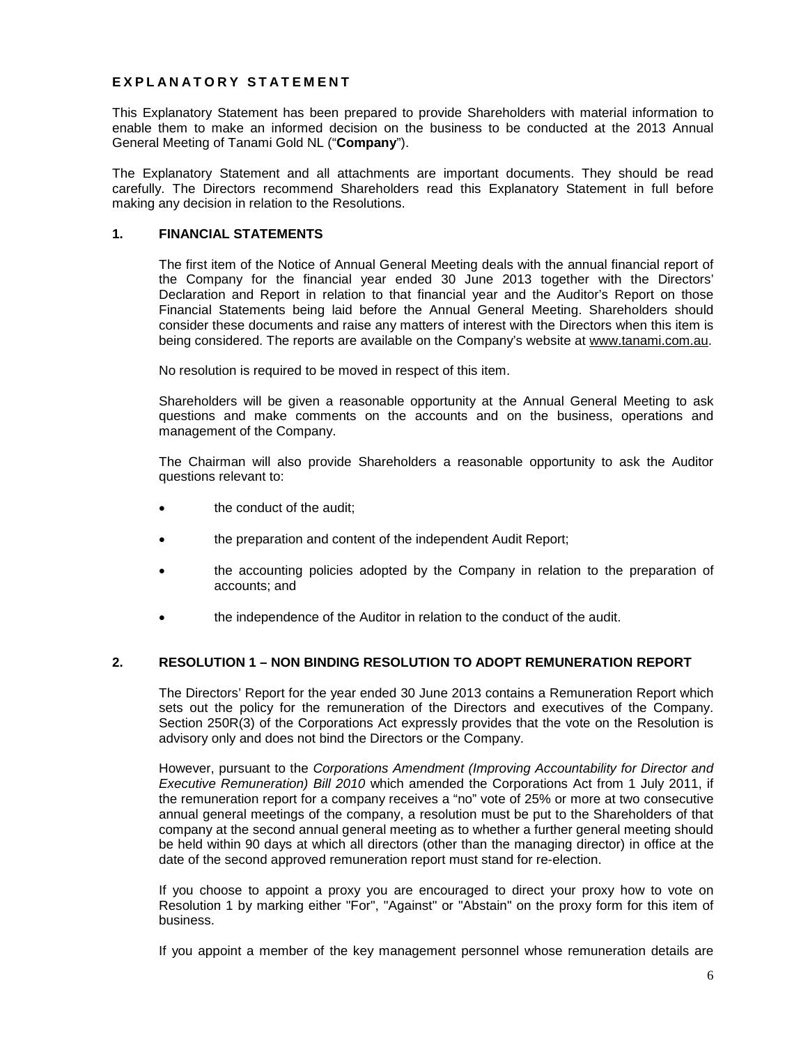## **EXPLANATORY STATEMENT**

This Explanatory Statement has been prepared to provide Shareholders with material information to enable them to make an informed decision on the business to be conducted at the 2013 Annual General Meeting of Tanami Gold NL ("**Company**").

The Explanatory Statement and all attachments are important documents. They should be read carefully. The Directors recommend Shareholders read this Explanatory Statement in full before making any decision in relation to the Resolutions.

## **1. FINANCIAL STATEMENTS**

The first item of the Notice of Annual General Meeting deals with the annual financial report of the Company for the financial year ended 30 June 2013 together with the Directors' Declaration and Report in relation to that financial year and the Auditor's Report on those Financial Statements being laid before the Annual General Meeting. Shareholders should consider these documents and raise any matters of interest with the Directors when this item is being considered. The reports are available on the Company's website at [www.tanami.com.au.](http://www.redmm.com.au/)

No resolution is required to be moved in respect of this item.

Shareholders will be given a reasonable opportunity at the Annual General Meeting to ask questions and make comments on the accounts and on the business, operations and management of the Company.

The Chairman will also provide Shareholders a reasonable opportunity to ask the Auditor questions relevant to:

- the conduct of the audit;
- the preparation and content of the independent Audit Report;
- the accounting policies adopted by the Company in relation to the preparation of accounts; and
- the independence of the Auditor in relation to the conduct of the audit.

## **2. RESOLUTION 1 – NON BINDING RESOLUTION TO ADOPT REMUNERATION REPORT**

The Directors' Report for the year ended 30 June 2013 contains a Remuneration Report which sets out the policy for the remuneration of the Directors and executives of the Company. Section 250R(3) of the Corporations Act expressly provides that the vote on the Resolution is advisory only and does not bind the Directors or the Company.

However, pursuant to the *Corporations Amendment (Improving Accountability for Director and Executive Remuneration) Bill 2010* which amended the Corporations Act from 1 July 2011, if the remuneration report for a company receives a "no" vote of 25% or more at two consecutive annual general meetings of the company, a resolution must be put to the Shareholders of that company at the second annual general meeting as to whether a further general meeting should be held within 90 days at which all directors (other than the managing director) in office at the date of the second approved remuneration report must stand for re-election.

If you choose to appoint a proxy you are encouraged to direct your proxy how to vote on Resolution 1 by marking either "For", "Against" or "Abstain" on the proxy form for this item of business.

If you appoint a member of the key management personnel whose remuneration details are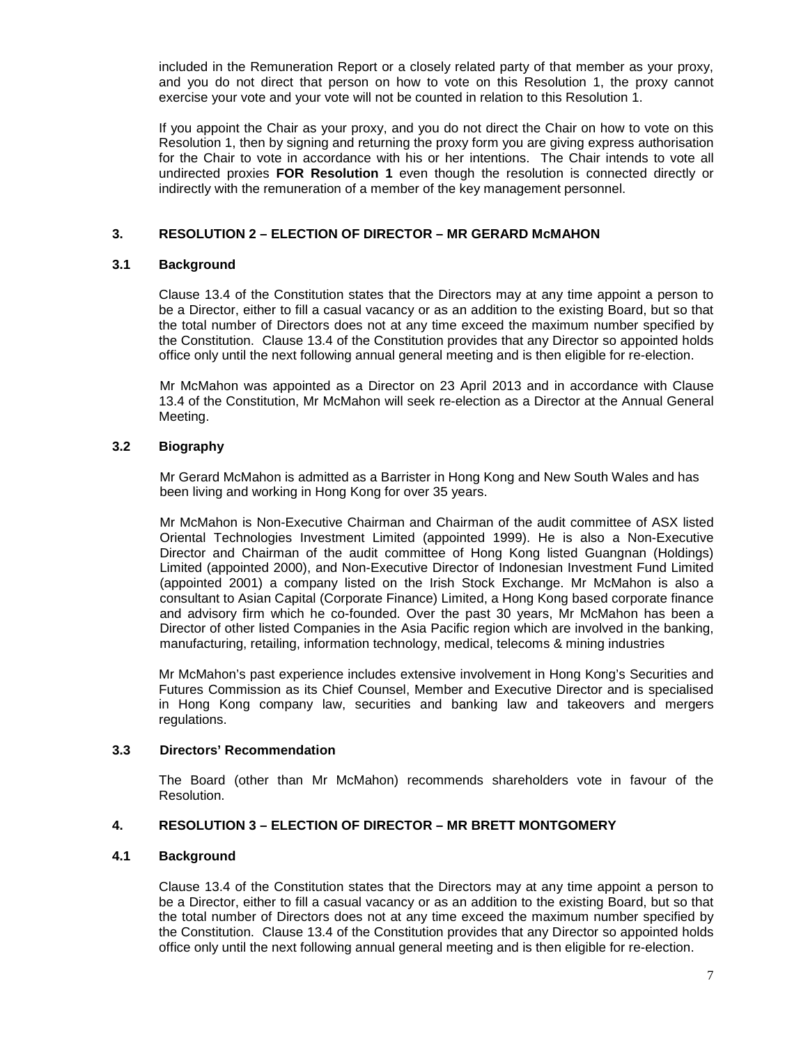included in the Remuneration Report or a closely related party of that member as your proxy, and you do not direct that person on how to vote on this Resolution 1, the proxy cannot exercise your vote and your vote will not be counted in relation to this Resolution 1.

If you appoint the Chair as your proxy, and you do not direct the Chair on how to vote on this Resolution 1, then by signing and returning the proxy form you are giving express authorisation for the Chair to vote in accordance with his or her intentions. The Chair intends to vote all undirected proxies **FOR Resolution 1** even though the resolution is connected directly or indirectly with the remuneration of a member of the key management personnel.

## **3. RESOLUTION 2 – ELECTION OF DIRECTOR – MR GERARD McMAHON**

## **3.1 Background**

Clause 13.4 of the Constitution states that the Directors may at any time appoint a person to be a Director, either to fill a casual vacancy or as an addition to the existing Board, but so that the total number of Directors does not at any time exceed the maximum number specified by the Constitution. Clause 13.4 of the Constitution provides that any Director so appointed holds office only until the next following annual general meeting and is then eligible for re-election.

Mr McMahon was appointed as a Director on 23 April 2013 and in accordance with Clause 13.4 of the Constitution, Mr McMahon will seek re-election as a Director at the Annual General Meeting.

## **3.2 Biography**

Mr Gerard McMahon is admitted as a Barrister in Hong Kong and New South Wales and has been living and working in Hong Kong for over 35 years.

Mr McMahon is Non-Executive Chairman and Chairman of the audit committee of ASX listed Oriental Technologies Investment Limited (appointed 1999). He is also a Non-Executive Director and Chairman of the audit committee of Hong Kong listed Guangnan (Holdings) Limited (appointed 2000), and Non-Executive Director of Indonesian Investment Fund Limited (appointed 2001) a company listed on the Irish Stock Exchange. Mr McMahon is also a consultant to Asian Capital (Corporate Finance) Limited, a Hong Kong based corporate finance and advisory firm which he co-founded. Over the past 30 years, Mr McMahon has been a Director of other listed Companies in the Asia Pacific region which are involved in the banking, manufacturing, retailing, information technology, medical, telecoms & mining industries

Mr McMahon's past experience includes extensive involvement in Hong Kong's Securities and Futures Commission as its Chief Counsel, Member and Executive Director and is specialised in Hong Kong company law, securities and banking law and takeovers and mergers regulations.

## **3.3 Directors' Recommendation**

The Board (other than Mr McMahon) recommends shareholders vote in favour of the Resolution.

## **4. RESOLUTION 3 – ELECTION OF DIRECTOR – MR BRETT MONTGOMERY**

## **4.1 Background**

Clause 13.4 of the Constitution states that the Directors may at any time appoint a person to be a Director, either to fill a casual vacancy or as an addition to the existing Board, but so that the total number of Directors does not at any time exceed the maximum number specified by the Constitution. Clause 13.4 of the Constitution provides that any Director so appointed holds office only until the next following annual general meeting and is then eligible for re-election.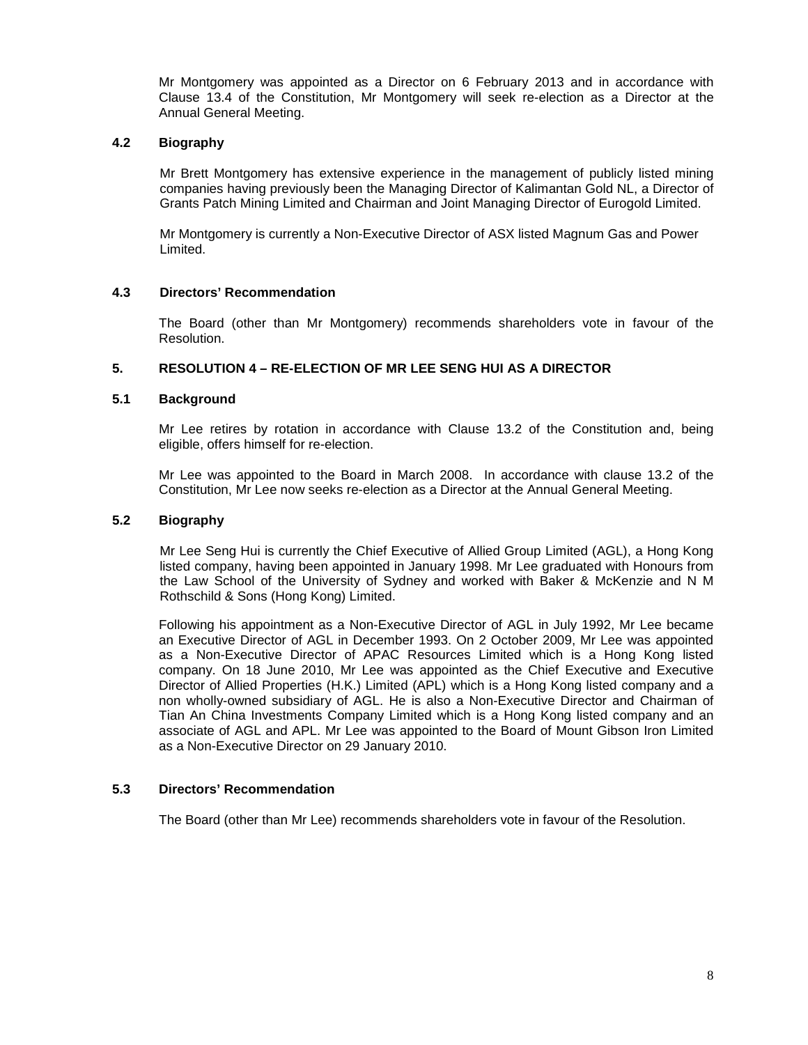Mr Montgomery was appointed as a Director on 6 February 2013 and in accordance with Clause 13.4 of the Constitution, Mr Montgomery will seek re-election as a Director at the Annual General Meeting.

## **4.2 Biography**

Mr Brett Montgomery has extensive experience in the management of publicly listed mining companies having previously been the Managing Director of Kalimantan Gold NL, a Director of Grants Patch Mining Limited and Chairman and Joint Managing Director of Eurogold Limited.

Mr Montgomery is currently a Non-Executive Director of ASX listed Magnum Gas and Power Limited.

## **4.3 Directors' Recommendation**

The Board (other than Mr Montgomery) recommends shareholders vote in favour of the Resolution.

## **5. RESOLUTION 4 – RE-ELECTION OF MR LEE SENG HUI AS A DIRECTOR**

## **5.1 Background**

Mr Lee retires by rotation in accordance with Clause 13.2 of the Constitution and, being eligible, offers himself for re-election.

Mr Lee was appointed to the Board in March 2008. In accordance with clause 13.2 of the Constitution, Mr Lee now seeks re-election as a Director at the Annual General Meeting.

## **5.2 Biography**

Mr Lee Seng Hui is currently the Chief Executive of Allied Group Limited (AGL), a Hong Kong listed company, having been appointed in January 1998. Mr Lee graduated with Honours from the Law School of the University of Sydney and worked with Baker & McKenzie and N M Rothschild & Sons (Hong Kong) Limited.

Following his appointment as a Non-Executive Director of AGL in July 1992, Mr Lee became an Executive Director of AGL in December 1993. On 2 October 2009, Mr Lee was appointed as a Non-Executive Director of APAC Resources Limited which is a Hong Kong listed company. On 18 June 2010, Mr Lee was appointed as the Chief Executive and Executive Director of Allied Properties (H.K.) Limited (APL) which is a Hong Kong listed company and a non wholly-owned subsidiary of AGL. He is also a Non-Executive Director and Chairman of Tian An China Investments Company Limited which is a Hong Kong listed company and an associate of AGL and APL. Mr Lee was appointed to the Board of Mount Gibson Iron Limited as a Non-Executive Director on 29 January 2010.

## **5.3 Directors' Recommendation**

The Board (other than Mr Lee) recommends shareholders vote in favour of the Resolution.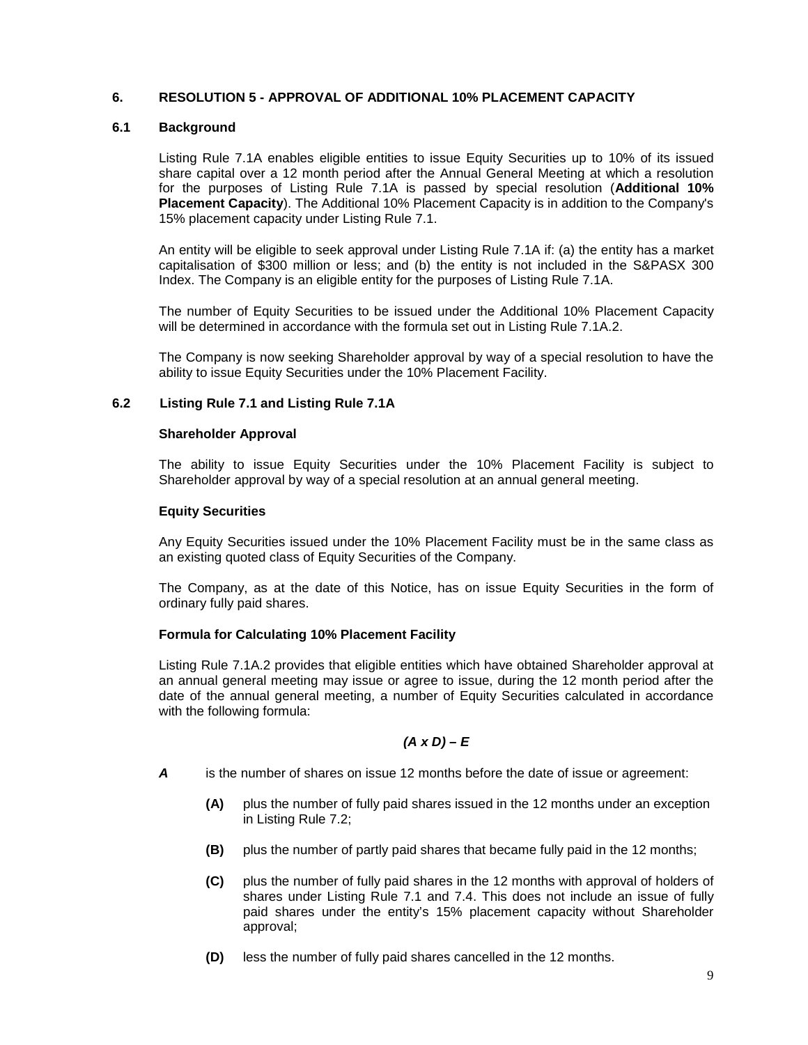## **6. RESOLUTION 5 - APPROVAL OF ADDITIONAL 10% PLACEMENT CAPACITY**

## **6.1 Background**

Listing Rule 7.1A enables eligible entities to issue Equity Securities up to 10% of its issued share capital over a 12 month period after the Annual General Meeting at which a resolution for the purposes of Listing Rule 7.1A is passed by special resolution (**Additional 10% Placement Capacity**). The Additional 10% Placement Capacity is in addition to the Company's 15% placement capacity under Listing Rule 7.1.

An entity will be eligible to seek approval under Listing Rule 7.1A if: (a) the entity has a market capitalisation of \$300 million or less; and (b) the entity is not included in the S&PASX 300 Index. The Company is an eligible entity for the purposes of Listing Rule 7.1A.

The number of Equity Securities to be issued under the Additional 10% Placement Capacity will be determined in accordance with the formula set out in Listing Rule 7.1A.2.

The Company is now seeking Shareholder approval by way of a special resolution to have the ability to issue Equity Securities under the 10% Placement Facility.

## **6.2 Listing Rule 7.1 and Listing Rule 7.1A**

## **Shareholder Approval**

The ability to issue Equity Securities under the 10% Placement Facility is subject to Shareholder approval by way of a special resolution at an annual general meeting.

## **Equity Securities**

Any Equity Securities issued under the 10% Placement Facility must be in the same class as an existing quoted class of Equity Securities of the Company.

The Company, as at the date of this Notice, has on issue Equity Securities in the form of ordinary fully paid shares.

## **Formula for Calculating 10% Placement Facility**

Listing Rule 7.1A.2 provides that eligible entities which have obtained Shareholder approval at an annual general meeting may issue or agree to issue, during the 12 month period after the date of the annual general meeting, a number of Equity Securities calculated in accordance with the following formula:

## *(A x D) – E*

- *A* is the number of shares on issue 12 months before the date of issue or agreement:
	- **(A)** plus the number of fully paid shares issued in the 12 months under an exception in Listing Rule 7.2;
	- **(B)** plus the number of partly paid shares that became fully paid in the 12 months;
	- **(C)** plus the number of fully paid shares in the 12 months with approval of holders of shares under Listing Rule 7.1 and 7.4. This does not include an issue of fully paid shares under the entity's 15% placement capacity without Shareholder approval;
	- **(D)** less the number of fully paid shares cancelled in the 12 months.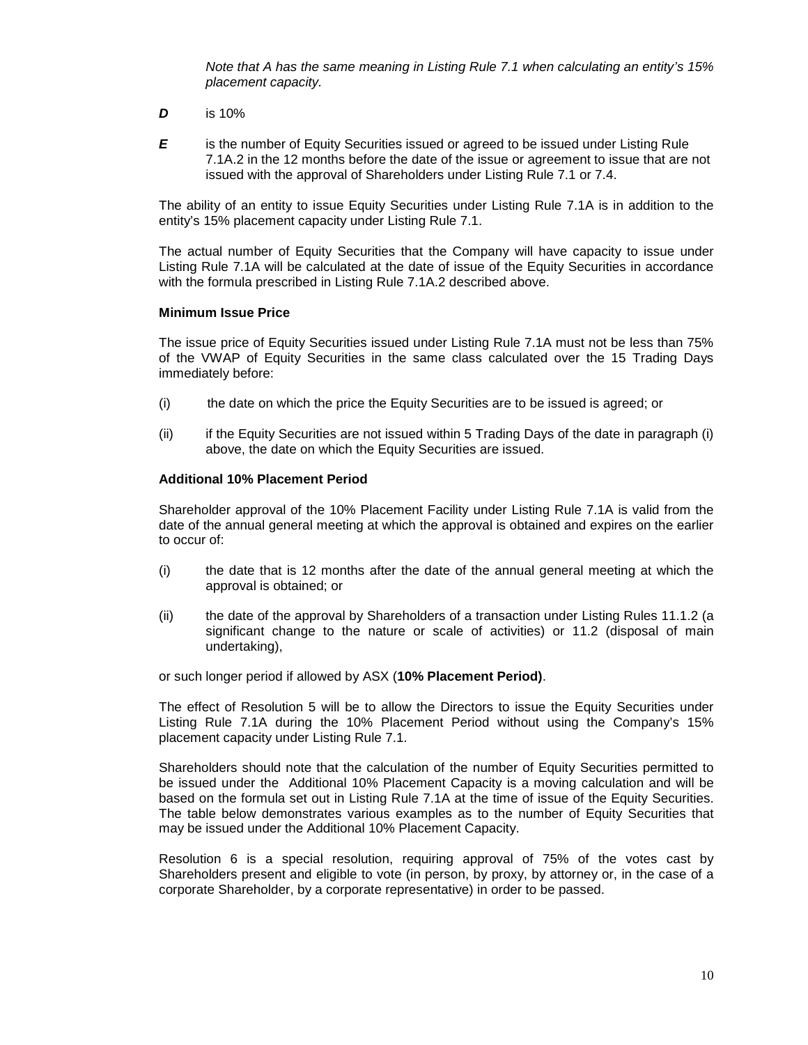*Note that A has the same meaning in Listing Rule 7.1 when calculating an entity's 15% placement capacity.*

- *D* is 10%
- **E** is the number of Equity Securities issued or agreed to be issued under Listing Rule 7.1A.2 in the 12 months before the date of the issue or agreement to issue that are not issued with the approval of Shareholders under Listing Rule 7.1 or 7.4.

The ability of an entity to issue Equity Securities under Listing Rule 7.1A is in addition to the entity's 15% placement capacity under Listing Rule 7.1.

The actual number of Equity Securities that the Company will have capacity to issue under Listing Rule 7.1A will be calculated at the date of issue of the Equity Securities in accordance with the formula prescribed in Listing Rule 7.1A.2 described above.

#### **Minimum Issue Price**

The issue price of Equity Securities issued under Listing Rule 7.1A must not be less than 75% of the VWAP of Equity Securities in the same class calculated over the 15 Trading Days immediately before:

- (i) the date on which the price the Equity Securities are to be issued is agreed; or
- (ii) if the Equity Securities are not issued within 5 Trading Days of the date in paragraph (i) above, the date on which the Equity Securities are issued.

## **Additional 10% Placement Period**

Shareholder approval of the 10% Placement Facility under Listing Rule 7.1A is valid from the date of the annual general meeting at which the approval is obtained and expires on the earlier to occur of:

- (i) the date that is 12 months after the date of the annual general meeting at which the approval is obtained; or
- (ii) the date of the approval by Shareholders of a transaction under Listing Rules 11.1.2 (a significant change to the nature or scale of activities) or 11.2 (disposal of main undertaking),

or such longer period if allowed by ASX (**10% Placement Period)**.

The effect of Resolution 5 will be to allow the Directors to issue the Equity Securities under Listing Rule 7.1A during the 10% Placement Period without using the Company's 15% placement capacity under Listing Rule 7.1.

Shareholders should note that the calculation of the number of Equity Securities permitted to be issued under the Additional 10% Placement Capacity is a moving calculation and will be based on the formula set out in Listing Rule 7.1A at the time of issue of the Equity Securities. The table below demonstrates various examples as to the number of Equity Securities that may be issued under the Additional 10% Placement Capacity.

Resolution 6 is a special resolution, requiring approval of 75% of the votes cast by Shareholders present and eligible to vote (in person, by proxy, by attorney or, in the case of a corporate Shareholder, by a corporate representative) in order to be passed.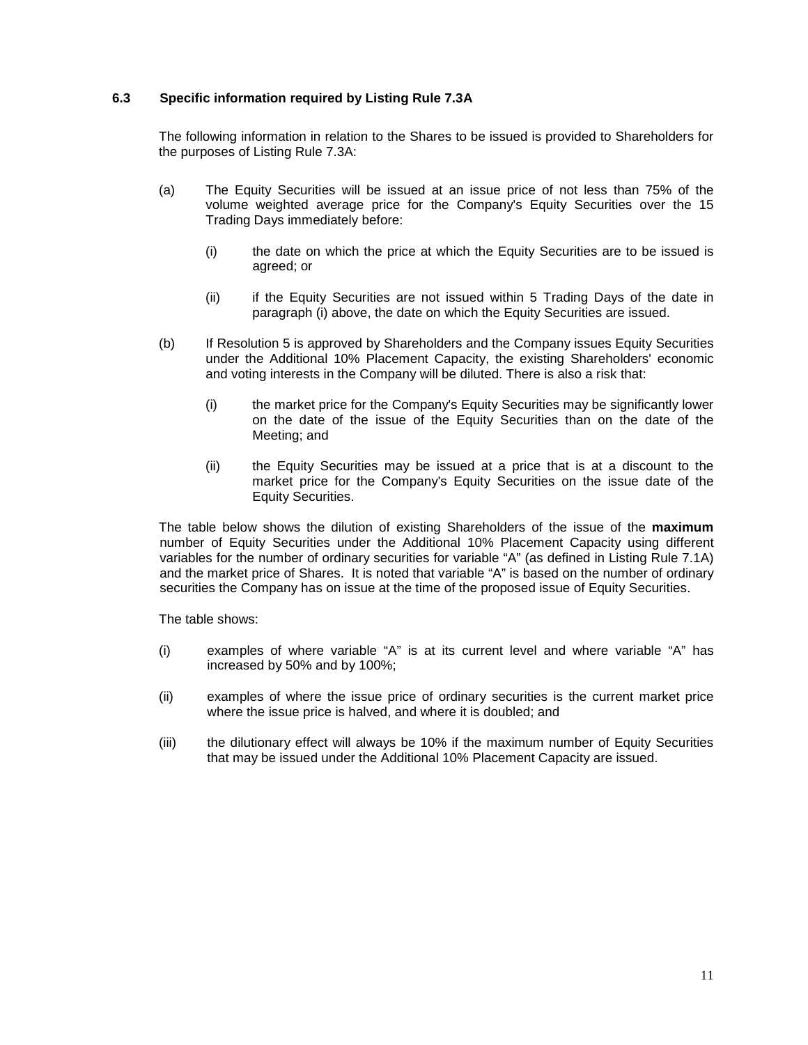## **6.3 Specific information required by Listing Rule 7.3A**

The following information in relation to the Shares to be issued is provided to Shareholders for the purposes of Listing Rule 7.3A:

- (a) The Equity Securities will be issued at an issue price of not less than 75% of the volume weighted average price for the Company's Equity Securities over the 15 Trading Days immediately before:
	- (i) the date on which the price at which the Equity Securities are to be issued is agreed; or
	- (ii) if the Equity Securities are not issued within 5 Trading Days of the date in paragraph (i) above, the date on which the Equity Securities are issued.
- (b) If Resolution 5 is approved by Shareholders and the Company issues Equity Securities under the Additional 10% Placement Capacity, the existing Shareholders' economic and voting interests in the Company will be diluted. There is also a risk that:
	- (i) the market price for the Company's Equity Securities may be significantly lower on the date of the issue of the Equity Securities than on the date of the Meeting; and
	- (ii) the Equity Securities may be issued at a price that is at a discount to the market price for the Company's Equity Securities on the issue date of the Equity Securities.

The table below shows the dilution of existing Shareholders of the issue of the **maximum** number of Equity Securities under the Additional 10% Placement Capacity using different variables for the number of ordinary securities for variable "A" (as defined in Listing Rule 7.1A) and the market price of Shares. It is noted that variable "A" is based on the number of ordinary securities the Company has on issue at the time of the proposed issue of Equity Securities.

The table shows:

- (i) examples of where variable "A" is at its current level and where variable "A" has increased by 50% and by 100%;
- (ii) examples of where the issue price of ordinary securities is the current market price where the issue price is halved, and where it is doubled; and
- (iii) the dilutionary effect will always be 10% if the maximum number of Equity Securities that may be issued under the Additional 10% Placement Capacity are issued.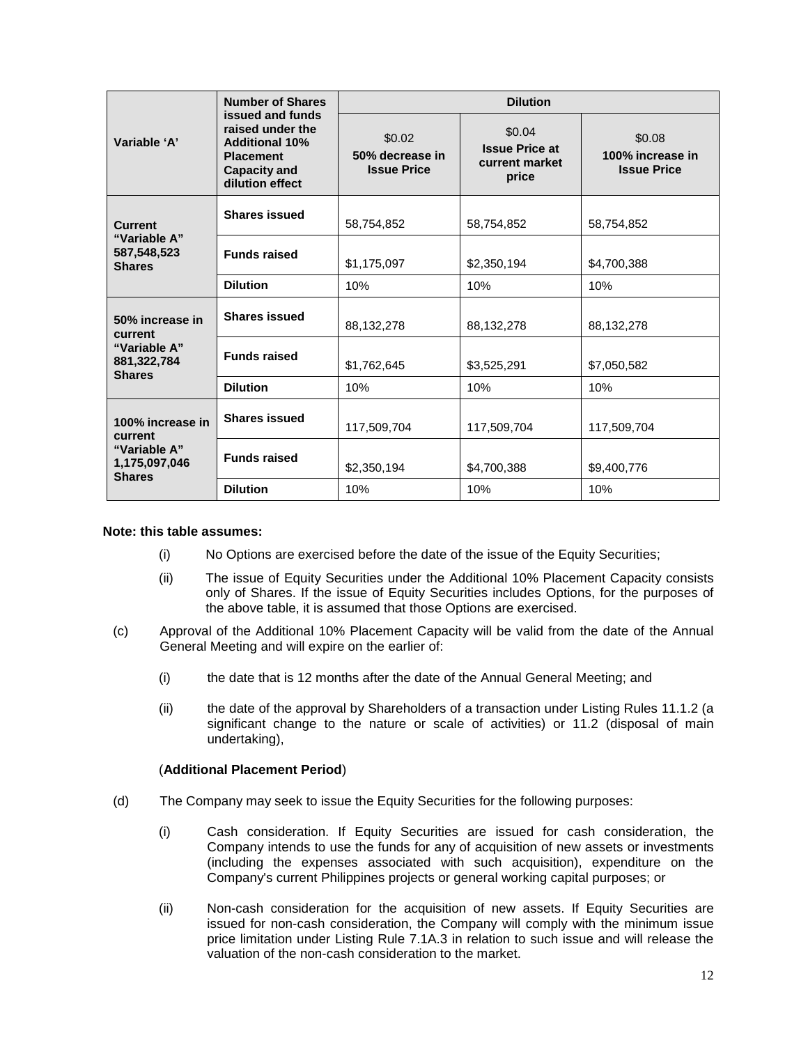| Variable 'A'                                                                  | <b>Number of Shares</b><br>issued and funds<br>raised under the<br><b>Additional 10%</b><br><b>Placement</b><br><b>Capacity and</b><br>dilution effect | <b>Dilution</b>                                 |                                                            |                                                  |  |
|-------------------------------------------------------------------------------|--------------------------------------------------------------------------------------------------------------------------------------------------------|-------------------------------------------------|------------------------------------------------------------|--------------------------------------------------|--|
|                                                                               |                                                                                                                                                        | \$0.02<br>50% decrease in<br><b>Issue Price</b> | \$0.04<br><b>Issue Price at</b><br>current market<br>price | \$0.08<br>100% increase in<br><b>Issue Price</b> |  |
| <b>Current</b><br>"Variable A"<br>587,548,523<br><b>Shares</b>                | <b>Shares issued</b>                                                                                                                                   | 58,754,852                                      | 58,754,852                                                 | 58,754,852                                       |  |
|                                                                               | <b>Funds raised</b>                                                                                                                                    | \$1,175,097                                     | \$2,350,194                                                | \$4,700,388                                      |  |
|                                                                               | <b>Dilution</b>                                                                                                                                        | 10%                                             | 10%                                                        | 10%                                              |  |
| 50% increase in<br>current<br>"Variable A"<br>881, 322, 784<br><b>Shares</b>  | <b>Shares issued</b>                                                                                                                                   | 88,132,278                                      | 88,132,278                                                 | 88,132,278                                       |  |
|                                                                               | <b>Funds raised</b>                                                                                                                                    | \$1,762,645                                     | \$3,525,291                                                | \$7,050,582                                      |  |
|                                                                               | <b>Dilution</b>                                                                                                                                        | 10%                                             | 10%                                                        | 10%                                              |  |
| 100% increase in<br>current<br>"Variable A"<br>1,175,097,046<br><b>Shares</b> | <b>Shares issued</b>                                                                                                                                   | 117,509,704                                     | 117,509,704                                                | 117,509,704                                      |  |
|                                                                               | <b>Funds raised</b>                                                                                                                                    | \$2,350,194                                     | \$4,700,388                                                | \$9,400,776                                      |  |
|                                                                               | <b>Dilution</b>                                                                                                                                        | 10%                                             | 10%                                                        | 10%                                              |  |

## **Note: this table assumes:**

- (i) No Options are exercised before the date of the issue of the Equity Securities;
- (ii) The issue of Equity Securities under the Additional 10% Placement Capacity consists only of Shares. If the issue of Equity Securities includes Options, for the purposes of the above table, it is assumed that those Options are exercised.
- (c) Approval of the Additional 10% Placement Capacity will be valid from the date of the Annual General Meeting and will expire on the earlier of:
	- (i) the date that is 12 months after the date of the Annual General Meeting; and
	- (ii) the date of the approval by Shareholders of a transaction under Listing Rules 11.1.2 (a significant change to the nature or scale of activities) or 11.2 (disposal of main undertaking),

## (**Additional Placement Period**)

- (d) The Company may seek to issue the Equity Securities for the following purposes:
	- (i) Cash consideration. If Equity Securities are issued for cash consideration, the Company intends to use the funds for any of acquisition of new assets or investments (including the expenses associated with such acquisition), expenditure on the Company's current Philippines projects or general working capital purposes; or
	- (ii) Non-cash consideration for the acquisition of new assets. If Equity Securities are issued for non-cash consideration, the Company will comply with the minimum issue price limitation under Listing Rule 7.1A.3 in relation to such issue and will release the valuation of the non-cash consideration to the market.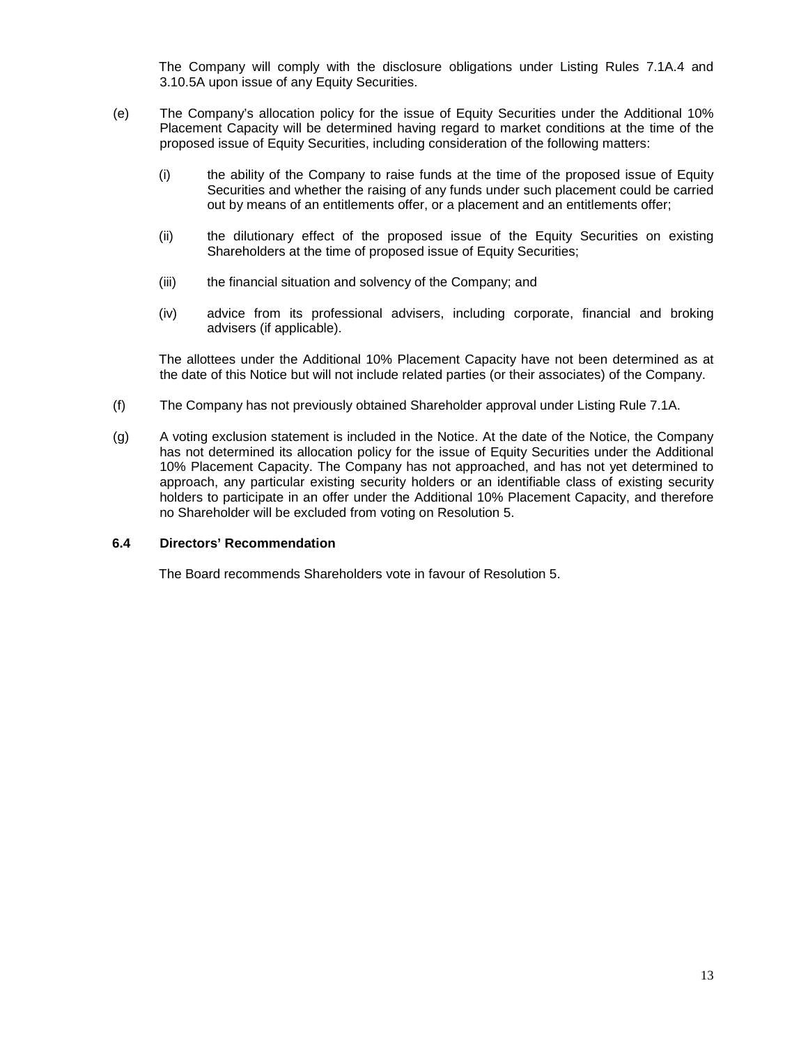The Company will comply with the disclosure obligations under Listing Rules 7.1A.4 and 3.10.5A upon issue of any Equity Securities.

- (e) The Company's allocation policy for the issue of Equity Securities under the Additional 10% Placement Capacity will be determined having regard to market conditions at the time of the proposed issue of Equity Securities, including consideration of the following matters:
	- (i) the ability of the Company to raise funds at the time of the proposed issue of Equity Securities and whether the raising of any funds under such placement could be carried out by means of an entitlements offer, or a placement and an entitlements offer;
	- (ii) the dilutionary effect of the proposed issue of the Equity Securities on existing Shareholders at the time of proposed issue of Equity Securities;
	- (iii) the financial situation and solvency of the Company; and
	- (iv) advice from its professional advisers, including corporate, financial and broking advisers (if applicable).

The allottees under the Additional 10% Placement Capacity have not been determined as at the date of this Notice but will not include related parties (or their associates) of the Company.

- (f) The Company has not previously obtained Shareholder approval under Listing Rule 7.1A.
- (g) A voting exclusion statement is included in the Notice. At the date of the Notice, the Company has not determined its allocation policy for the issue of Equity Securities under the Additional 10% Placement Capacity. The Company has not approached, and has not yet determined to approach, any particular existing security holders or an identifiable class of existing security holders to participate in an offer under the Additional 10% Placement Capacity, and therefore no Shareholder will be excluded from voting on Resolution 5.

## **6.4 Directors' Recommendation**

The Board recommends Shareholders vote in favour of Resolution 5.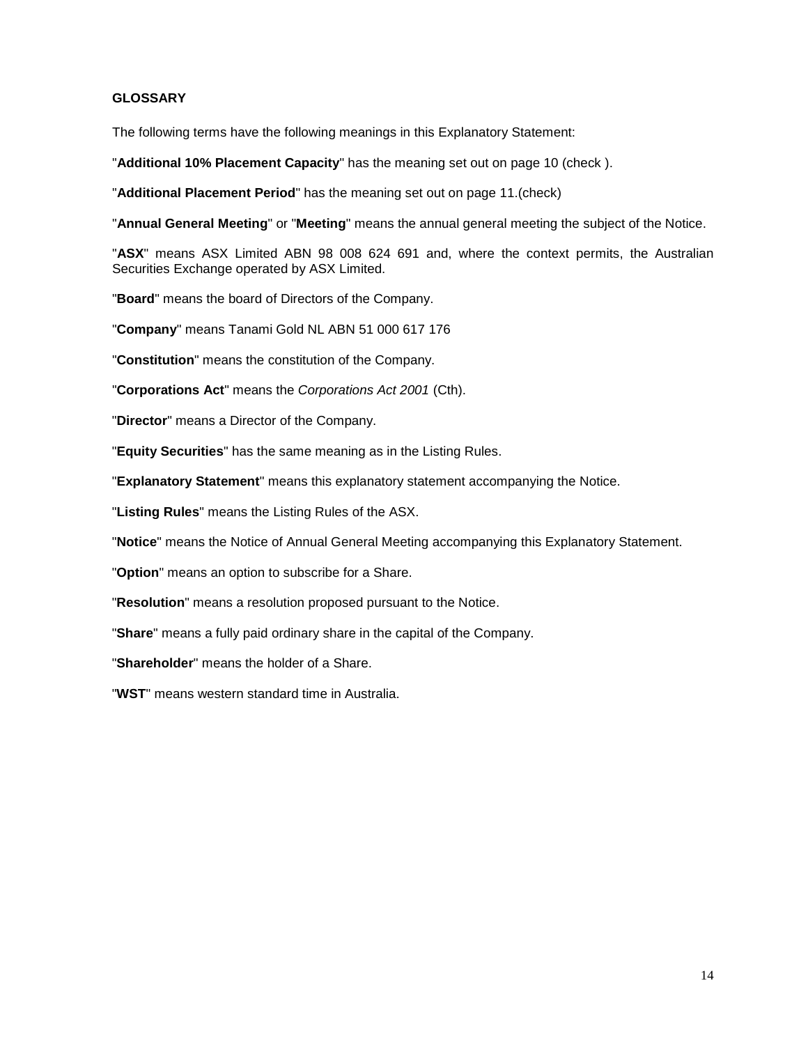## **GLOSSARY**

The following terms have the following meanings in this Explanatory Statement:

"**Additional 10% Placement Capacity**" has the meaning set out on page 10 (check ).

"**Additional Placement Period**" has the meaning set out on page 11.(check)

"**Annual General Meeting**" or "**Meeting**" means the annual general meeting the subject of the Notice.

"**ASX**" means ASX Limited ABN 98 008 624 691 and, where the context permits, the Australian Securities Exchange operated by ASX Limited.

"**Board**" means the board of Directors of the Company.

"**Company**" means Tanami Gold NL ABN 51 000 617 176

"**Constitution**" means the constitution of the Company.

"**Corporations Act**" means the *Corporations Act 2001* (Cth).

"**Director**" means a Director of the Company.

"**Equity Securities**" has the same meaning as in the Listing Rules.

"**Explanatory Statement**" means this explanatory statement accompanying the Notice.

"**Listing Rules**" means the Listing Rules of the ASX.

"**Notice**" means the Notice of Annual General Meeting accompanying this Explanatory Statement.

"**Option**" means an option to subscribe for a Share.

"**Resolution**" means a resolution proposed pursuant to the Notice.

"**Share**" means a fully paid ordinary share in the capital of the Company.

"**Shareholder**" means the holder of a Share.

"**WST**" means western standard time in Australia.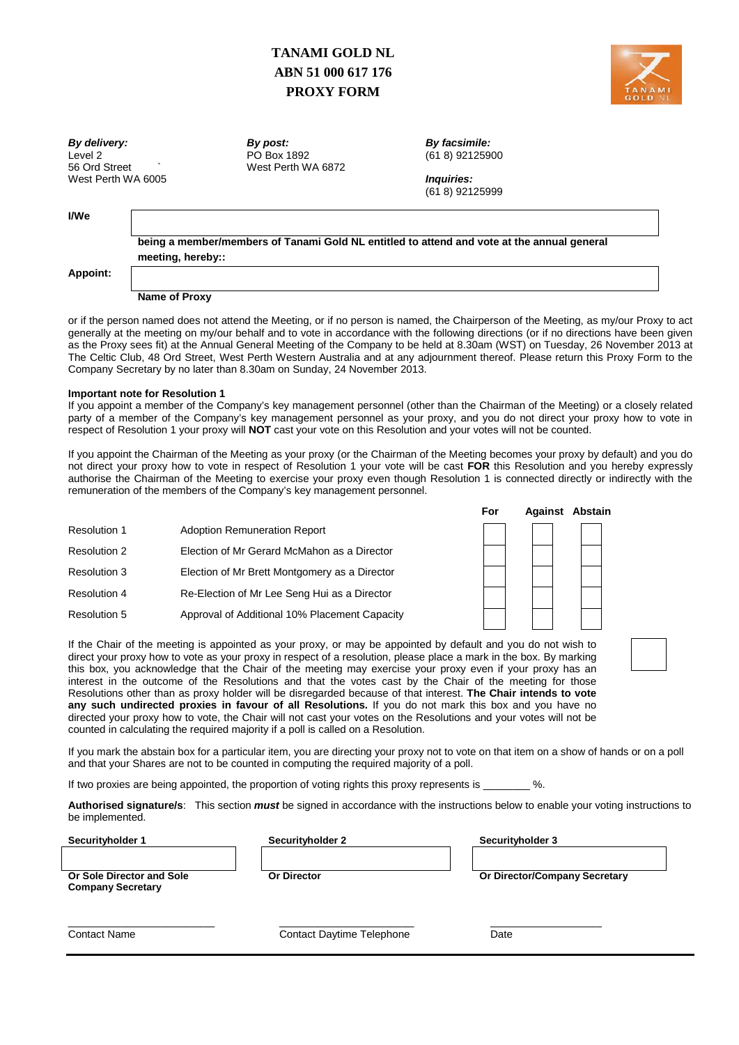# **TANAMI GOLD NL ABN 51 000 617 176 PROXY FORM**



*By delivery: By post: By facsimile:* West Perth WA 6005 *Inquiries:*

Level 2 PO Box 1892 (61 8) 92125900 West Perth WA 6872

(61 8) 92125999

## **I/We**

**being a member/members of Tanami Gold NL entitled to attend and vote at the annual general meeting, hereby::**

#### **Appoint:**

#### **Name of Proxy**

or if the person named does not attend the Meeting, or if no person is named, the Chairperson of the Meeting, as my/our Proxy to act generally at the meeting on my/our behalf and to vote in accordance with the following directions (or if no directions have been given as the Proxy sees fit) at the Annual General Meeting of the Company to be held at 8.30am (WST) on Tuesday, 26 November 2013 at The Celtic Club, 48 Ord Street, West Perth Western Australia and at any adjournment thereof. Please return this Proxy Form to the Company Secretary by no later than 8.30am on Sunday, 24 November 2013.

#### **Important note for Resolution 1**

If you appoint a member of the Company's key management personnel (other than the Chairman of the Meeting) or a closely related party of a member of the Company's key management personnel as your proxy, and you do not direct your proxy how to vote in respect of Resolution 1 your proxy will **NOT** cast your vote on this Resolution and your votes will not be counted.

If you appoint the Chairman of the Meeting as your proxy (or the Chairman of the Meeting becomes your proxy by default) and you do not direct your proxy how to vote in respect of Resolution 1 your vote will be cast **FOR** this Resolution and you hereby expressly authorise the Chairman of the Meeting to exercise your proxy even though Resolution 1 is connected directly or indirectly with the remuneration of the members of the Company's key management personnel.

| <b>Resolution 1</b> | <b>Adoption Remuneration Report</b>           |
|---------------------|-----------------------------------------------|
| <b>Resolution 2</b> | Election of Mr Gerard McMahon as a Director   |
| Resolution 3        | Election of Mr Brett Montgomery as a Director |
| <b>Resolution 4</b> | Re-Election of Mr Lee Seng Hui as a Director  |
| <b>Resolution 5</b> | Approval of Additional 10% Placement Capacity |

| <b>For</b> |  | Against Abstain |
|------------|--|-----------------|
|            |  |                 |
|            |  |                 |
|            |  |                 |
|            |  |                 |
|            |  |                 |

If the Chair of the meeting is appointed as your proxy, or may be appointed by default and you do not wish to direct your proxy how to vote as your proxy in respect of a resolution, please place a mark in the box. By marking this box, you acknowledge that the Chair of the meeting may exercise your proxy even if your proxy has an interest in the outcome of the Resolutions and that the votes cast by the Chair of the meeting for those Resolutions other than as proxy holder will be disregarded because of that interest. **The Chair intends to vote any such undirected proxies in favour of all Resolutions.** If you do not mark this box and you have no directed your proxy how to vote, the Chair will not cast your votes on the Resolutions and your votes will not be counted in calculating the required majority if a poll is called on a Resolution.

If you mark the abstain box for a particular item, you are directing your proxy not to vote on that item on a show of hands or on a poll and that your Shares are not to be counted in computing the required majority of a poll.

If two proxies are being appointed, the proportion of voting rights this proxy represents is  $\%$ .

**Authorised signature/s**: This section *must* be signed in accordance with the instructions below to enable your voting instructions to be implemented.

**Securityholder 1 Securityholder 2 Securityholder 3**

**Or Sole Director and Sole Company Secretary**

**Or Director Or Director/Company Secretary** 

 $\_$  ,  $\_$  ,  $\_$  ,  $\_$  ,  $\_$  ,  $\_$  ,  $\_$  ,  $\_$  ,  $\_$  ,  $\_$  ,  $\_$  ,  $\_$  ,  $\_$  ,  $\_$  ,  $\_$  ,  $\_$  ,  $\_$  ,  $\_$  ,  $\_$  ,  $\_$  ,  $\_$  ,  $\_$  ,  $\_$  ,  $\_$  ,  $\_$  ,  $\_$  ,  $\_$  ,  $\_$  ,  $\_$  ,  $\_$  ,  $\_$  ,  $\_$  ,  $\_$  ,  $\_$  ,  $\_$  ,  $\_$  ,  $\_$  , **Contact Name Contact Daytime Telephone** Date